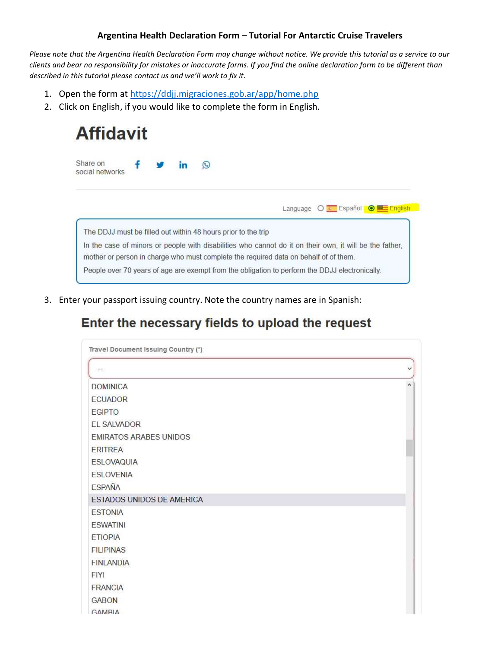#### Argentina Health Declaration Form – Tutorial For Antarctic Cruise Travelers

Please note that the Argentina Health Declaration Form may change without notice. We provide this tutorial as a service to our clients and bear no responsibility for mistakes or inaccurate forms. If you find the online declaration form to be different than described in this tutorial please contact us and we'll work to fix it.

- 1. Open the form at https://ddjj.migraciones.gob.ar/app/home.php
- 2. Click on English, if you would like to complete the form in English.

| <b>Affidavit</b>                                              |  |  |    |                                                                                      |  |                                                                                                         |
|---------------------------------------------------------------|--|--|----|--------------------------------------------------------------------------------------|--|---------------------------------------------------------------------------------------------------------|
| Share on<br>social networks                                   |  |  | în | $\odot$                                                                              |  |                                                                                                         |
|                                                               |  |  |    |                                                                                      |  | Language O E Español O <b>E English</b>                                                                 |
|                                                               |  |  |    |                                                                                      |  |                                                                                                         |
| The DDJJ must be filled out within 48 hours prior to the trip |  |  |    |                                                                                      |  |                                                                                                         |
|                                                               |  |  |    | mother or person in charge who must complete the required data on behalf of of them. |  | In the case of minors or people with disabilities who cannot do it on their own, it will be the father, |

3. Enter your passport issuing country. Note the country names are in Spanish:

### Enter the necessary fields to upload the request

| m                             | $\checkmark$ |
|-------------------------------|--------------|
| <b>DOMINICA</b>               | $\lambda$    |
| <b>ECUADOR</b>                |              |
| <b>EGIPTO</b>                 |              |
| EL SALVADOR                   |              |
| <b>EMIRATOS ARABES UNIDOS</b> |              |
| <b>ERITREA</b>                |              |
| <b>ESLOVAQUIA</b>             |              |
| <b>ESLOVENIA</b>              |              |
| <b>ESPAÑA</b>                 |              |
| ESTADOS UNIDOS DE AMERICA     |              |
| <b>ESTONIA</b>                |              |
| <b>ESWATINI</b>               |              |
| <b>ETIOPIA</b>                |              |
| <b>FILIPINAS</b>              |              |
| <b>FINLANDIA</b>              |              |
| <b>FIYI</b>                   |              |
| <b>FRANCIA</b>                |              |
| <b>GABON</b>                  |              |
| <b>GAMBIA</b>                 |              |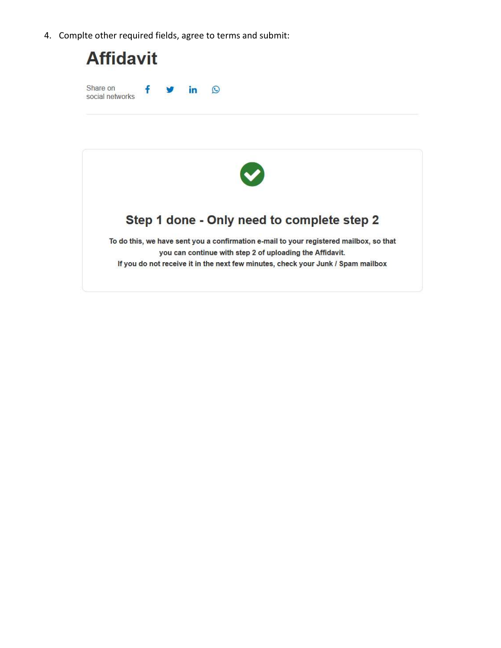4. Complte other required fields, agree to terms and submit:

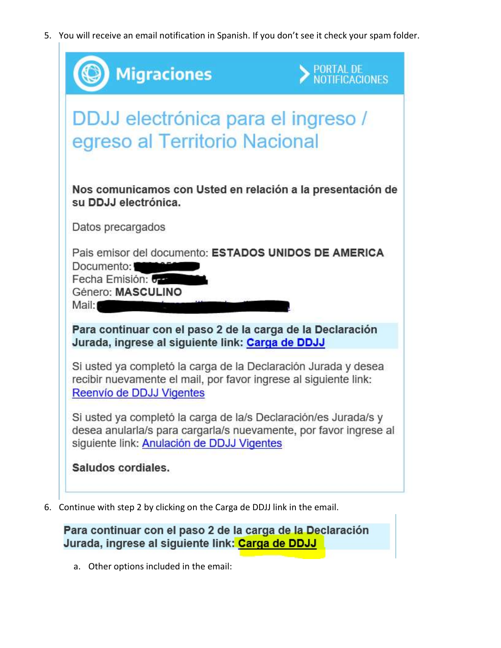5. You will receive an email notification in Spanish. If you don't see it check your spam folder.

| <b>Migraciones</b>                                                                                                                                                                 | PORTAL DE<br>NOTIFICACIONES |
|------------------------------------------------------------------------------------------------------------------------------------------------------------------------------------|-----------------------------|
| DDJJ electrónica para el ingreso /<br>egreso al Territorio Nacional                                                                                                                |                             |
| Nos comunicamos con Usted en relación a la presentación de<br>su DDJJ electrónica.                                                                                                 |                             |
| Datos precargados                                                                                                                                                                  |                             |
| Pais emisor del documento: ESTADOS UNIDOS DE AMERICA<br>Documento:<br>Fecha Emisión: 6-2<br>Género: MASCULINO<br>Mail:                                                             |                             |
| Para continuar con el paso 2 de la carga de la Declaración<br>Jurada, ingrese al siguiente link: Carga de DDJJ                                                                     |                             |
| Si usted ya completó la carga de la Declaración Jurada y desea<br>recibir nuevamente el mail, por favor ingrese al siguiente link:<br>Reenvío de DDJJ Vigentes                     |                             |
| Si usted ya completó la carga de la/s Declaración/es Jurada/s y<br>desea anularla/s para cargarla/s nuevamente, por favor ingrese al<br>siguiente link: Anulación de DDJJ Vigentes |                             |
| Saludos cordiales.                                                                                                                                                                 |                             |

6. Continue with step 2 by clicking on the Carga de DDJJ link in the email.

Para continuar con el paso 2 de la carga de la Declaración Jurada, ingrese al siguiente link: Carga de DDJJ

a. Other options included in the email: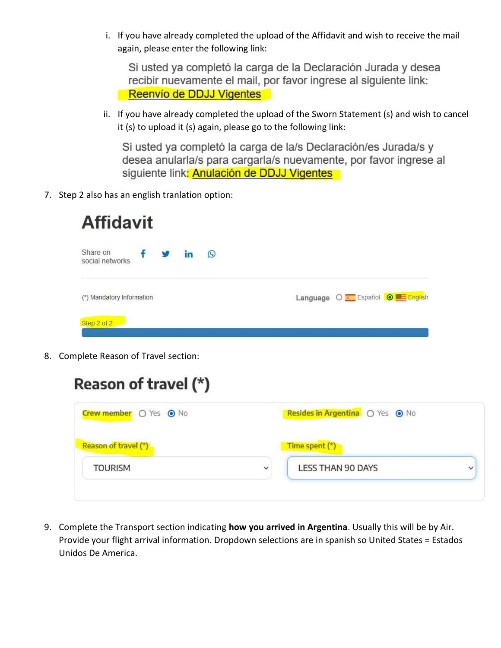i. If you have already completed the upload of the Affidavit and wish to receive the mail again, please enter the following link:

Si usted ya completó la carga de la Declaración Jurada y desea recibir nuevamente el mail, por favor ingrese al siguiente link: Reenvío de DDJJ Vigentes

ii. If you have already completed the upload of the Sworn Statement (s) and wish to cancel it (s) to upload it (s) again, please go to the following link:

Si usted ya completó la carga de la/s Declaración/es Jurada/s y desea anularla/s para cargarla/s nuevamente, por favor ingrese al siguiente link: Anulación de DDJJ Vigentes

7. Step 2 also has an english tranlation option:

| <b>Affidavit</b>                      |    |         |  |                              |  |
|---------------------------------------|----|---------|--|------------------------------|--|
| Share on<br>f<br>V<br>social networks | in | $\odot$ |  |                              |  |
| (*) Mandatory Information             |    |         |  | Language O Español O Español |  |
| Step 2 of 2                           |    |         |  |                              |  |

8. Complete Reason of Travel section:

| Crew member O Yes O No | Resides in Argentina O Yes O No |                          |  |
|------------------------|---------------------------------|--------------------------|--|
| Reason of travel (*)   |                                 | Time spent (*)           |  |
| <b>TOURISM</b>         | $\checkmark$                    | <b>LESS THAN 90 DAYS</b> |  |

9. Complete the Transport section indicating how you arrived in Argentina. Usually this will be by Air. Provide your flight arrival information. Dropdown selections are in spanish so United States = Estados Unidos De America.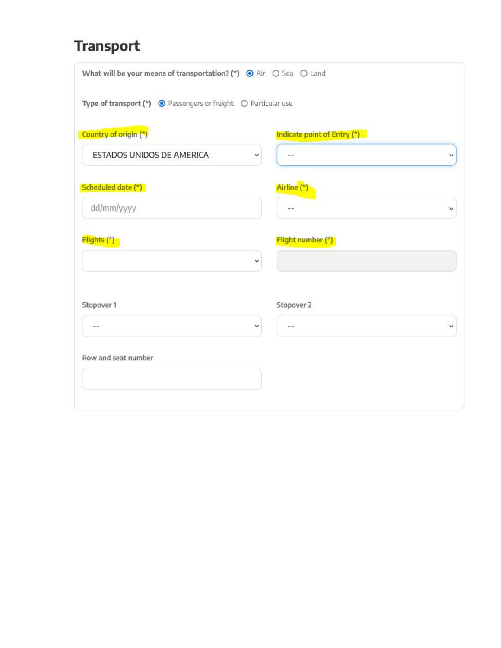# **Transport**

| What will be your means of transportation? (*) $\bullet$ Air $\circ$ Sea $\circ$ Land |
|---------------------------------------------------------------------------------------|
| Type of transport $(*)$ $\Theta$ Passengers or freight $\Theta$ Particular use        |
| Indicate point of Entry (*)                                                           |
| $\rightarrow$<br>v                                                                    |
| Airline (*)                                                                           |
| $-1$                                                                                  |
| Flight number (*)                                                                     |
|                                                                                       |
| Stopover 2                                                                            |
| $\sim$ $\sim$                                                                         |
|                                                                                       |
|                                                                                       |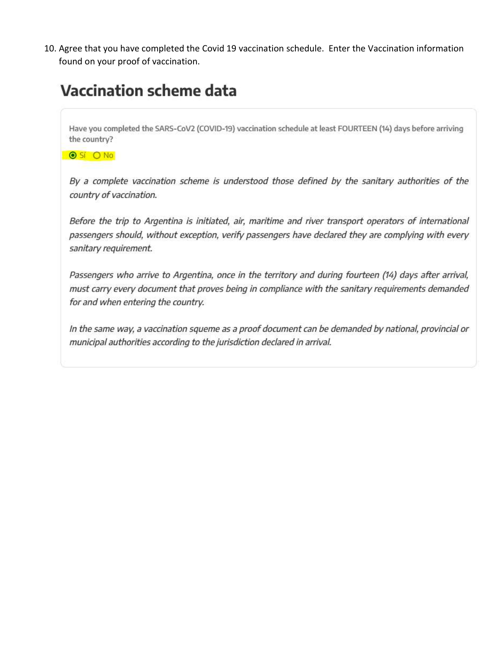10. Agree that you have completed the Covid 19 vaccination schedule. Enter the Vaccination information found on your proof of vaccination.

# **Vaccination scheme data**

Have you completed the SARS-CoV2 (COVID-19) vaccination schedule at least FOURTEEN (14) days before arriving the country?

O SÍ O No

By a complete vaccination scheme is understood those defined by the sanitary authorities of the country of vaccination.

Before the trip to Argentina is initiated, air, maritime and river transport operators of international passengers should, without exception, verify passengers have declared they are complying with every sanitary requirement.

Passengers who arrive to Argentina, once in the territory and during fourteen (14) days after arrival, must carry every document that proves being in compliance with the sanitary requirements demanded for and when entering the country.

In the same way, a vaccination squeme as a proof document can be demanded by national, provincial or municipal authorities according to the jurisdiction declared in arrival.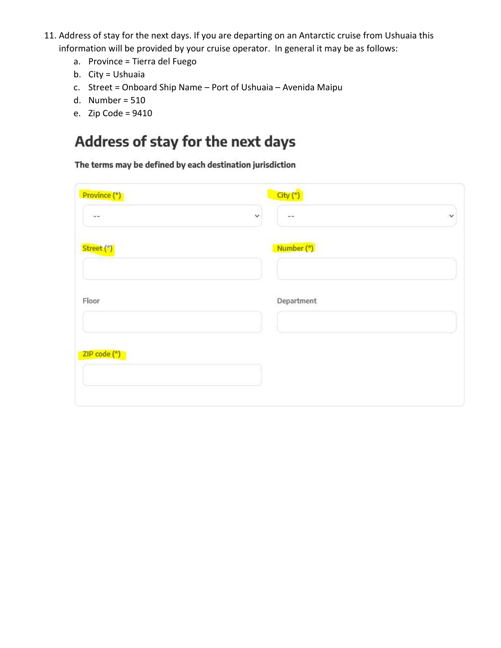- 11. Address of stay for the next days. If you are departing on an Antarctic cruise from Ushuaia this information will be provided by your cruise operator. In general it may be as follows:
	- a. Province = Tierra del Fuego
	- b. City = Ushuaia
	- c. Street = Onboard Ship Name Port of Ushuaia Avenida Maipu
	- d. Number = 510
	- e. Zip Code = 9410

## Address of stay for the next days

The terms may be defined by each destination jurisdiction

| Province (*)  | $City (*)$                            |        |
|---------------|---------------------------------------|--------|
| $\sim$ $\sim$ | v<br>$\sim$ $\sim$                    | $\vee$ |
| Street (*)    | <b>American Comment</b><br>Number (*) |        |
| Floor         | Department                            |        |
| ZIP code (*)  |                                       |        |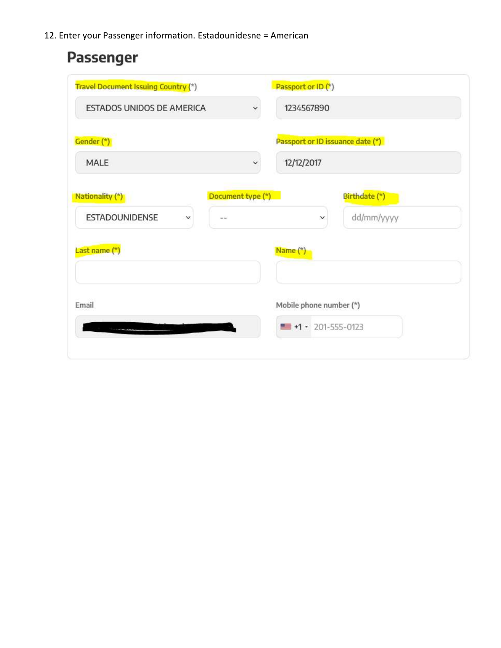12. Enter your Passenger information. Estadounidesne = American

# Passenger

| <b>Travel Document Issuing Country (*)</b> |                   | Passport or ID (*)                                          |
|--------------------------------------------|-------------------|-------------------------------------------------------------|
| ESTADOS UNIDOS DE AMERICA                  | $\checkmark$      | 1234567890                                                  |
| Gender (*)                                 |                   | Passport or ID issuance date (*)                            |
| MALE                                       | v                 | 12/12/2017                                                  |
| Nationality (*)                            | Document type (*) | Birthdate (*)                                               |
| <b>ESTADOUNIDENSE</b><br>v                 | $ -$              | dd/mm/yyyy<br>$\checkmark$                                  |
| Last name (*)                              |                   | Name (*)                                                    |
|                                            |                   |                                                             |
| Email                                      |                   | Mobile phone number (*)<br>$\blacksquare$ +1 = 201-555-0123 |
|                                            |                   |                                                             |